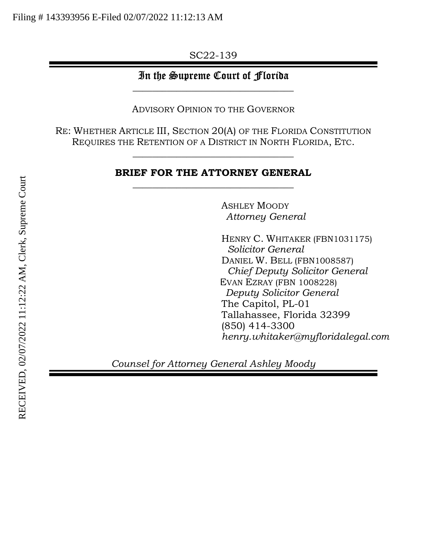SC22-139

# In the Supreme Court of Florida  $\_$

ADVISORY OPINION TO THE GOVERNOR

RE: WHETHER ARTICLE III, SECTION 20(A) OF THE FLORIDA CONSTITUTION REQUIRES THE RETENTION OF A DISTRICT IN NORTH FLORIDA, ETC.

 $\_$ 

## BRIEF FOR THE ATTORNEY GENERAL  $\_$

ASHLEY MOODY Attorney General

HENRY C. WHITAKER (FBN1031175) Solicitor General DANIEL W. BELL (FBN1008587) Chief Deputy Solicitor General EVAN EZRAY (FBN 1008228) Deputy Solicitor General The Capitol, PL-01 Tallahassee, Florida 32399 (850) 414-3300 henry.whitaker@myfloridalegal.com

Counsel for Attorney General Ashley Moody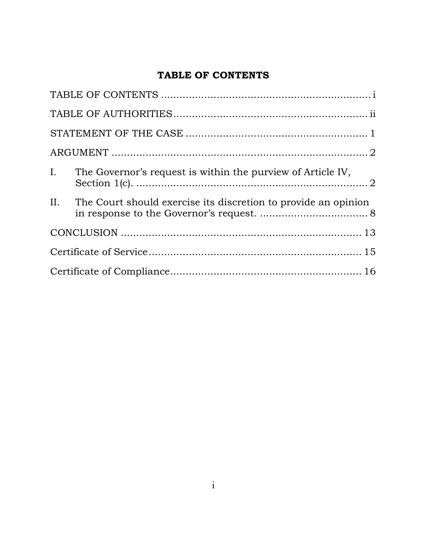# TABLE OF CONTENTS

|  | I. The Governor's request is within the purview of Article IV,     |  |  |  |  |
|--|--------------------------------------------------------------------|--|--|--|--|
|  | II. The Court should exercise its discretion to provide an opinion |  |  |  |  |
|  |                                                                    |  |  |  |  |
|  |                                                                    |  |  |  |  |
|  |                                                                    |  |  |  |  |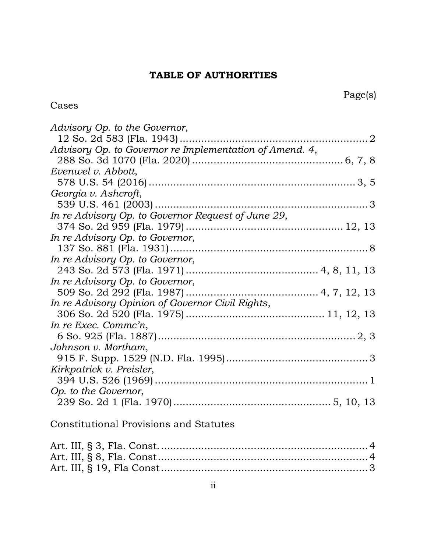# TABLE OF AUTHORITIES

## Cases

| Advisory Op. to the Governor,                                                                                |
|--------------------------------------------------------------------------------------------------------------|
|                                                                                                              |
| Advisory Op. to Governor re Implementation of Amend. 4,                                                      |
|                                                                                                              |
| Evenwel v. Abbott,                                                                                           |
|                                                                                                              |
| Georgia v. Ashcroft,                                                                                         |
|                                                                                                              |
| In re Advisory Op. to Governor Request of June 29,                                                           |
|                                                                                                              |
| In re Advisory Op. to Governor,                                                                              |
|                                                                                                              |
| In re Advisory Op. to Governor,                                                                              |
|                                                                                                              |
| In re Advisory Op. to Governor,                                                                              |
|                                                                                                              |
| In re Advisory Opinion of Governor Civil Rights,                                                             |
|                                                                                                              |
| In re Exec. Commc'n,                                                                                         |
|                                                                                                              |
| Johnson v. Mortham,                                                                                          |
|                                                                                                              |
| Kirkpatrick v. Preisler,                                                                                     |
|                                                                                                              |
| Op. to the Governor,                                                                                         |
|                                                                                                              |
| $\alpha$ is the state of $\alpha$ in the state of $\alpha$ is the state of $\alpha$ is the state of $\alpha$ |
|                                                                                                              |

## Constitutional Provisions and Statutes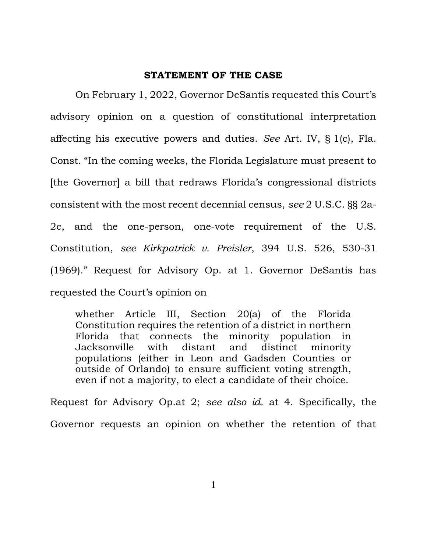#### STATEMENT OF THE CASE

On February 1, 2022, Governor DeSantis requested this Court's advisory opinion on a question of constitutional interpretation affecting his executive powers and duties. See Art. IV, § 1(c), Fla. Const. "In the coming weeks, the Florida Legislature must present to [the Governor] a bill that redraws Florida's congressional districts consistent with the most recent decennial census, see 2 U.S.C. §§ 2a-2c, and the one-person, one-vote requirement of the U.S. Constitution, see Kirkpatrick v. Preisler, 394 U.S. 526, 530-31 (1969)." Request for Advisory Op. at 1. Governor DeSantis has requested the Court's opinion on

whether Article III, Section 20(a) of the Florida Constitution requires the retention of a district in northern Florida that connects the minority population in Jacksonville with distant and distinct minority populations (either in Leon and Gadsden Counties or outside of Orlando) to ensure sufficient voting strength, even if not a majority, to elect a candidate of their choice.

Request for Advisory Op.at 2; see also id. at 4. Specifically, the Governor requests an opinion on whether the retention of that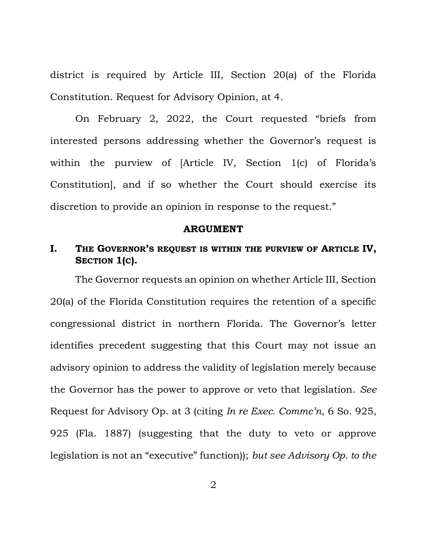district is required by Article III, Section 20(a) of the Florida Constitution. Request for Advisory Opinion, at 4.

 On February 2, 2022, the Court requested "briefs from interested persons addressing whether the Governor's request is within the purview of [Article IV, Section 1(c) of Florida's Constitution], and if so whether the Court should exercise its discretion to provide an opinion in response to the request."

#### ARGUMENT

## I. THE GOVERNOR'S REQUEST IS WITHIN THE PURVIEW OF ARTICLE IV, SECTION 1(C).

The Governor requests an opinion on whether Article III, Section 20(a) of the Florida Constitution requires the retention of a specific congressional district in northern Florida. The Governor's letter identifies precedent suggesting that this Court may not issue an advisory opinion to address the validity of legislation merely because the Governor has the power to approve or veto that legislation. See Request for Advisory Op. at 3 (citing In re Exec. Commc'n, 6 So. 925, 925 (Fla. 1887) (suggesting that the duty to veto or approve legislation is not an "executive" function)); but see Advisory Op. to the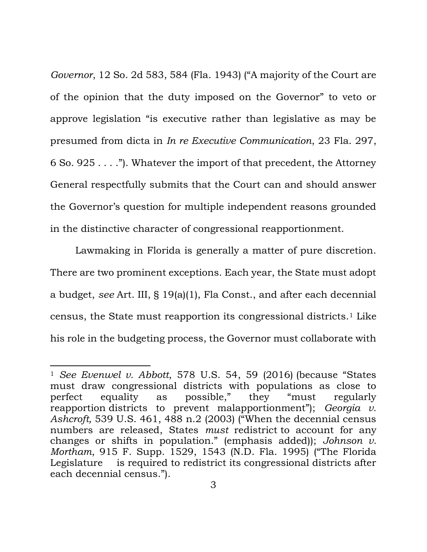Governor, 12 So. 2d 583, 584 (Fla. 1943) ("A majority of the Court are of the opinion that the duty imposed on the Governor" to veto or approve legislation "is executive rather than legislative as may be presumed from dicta in In re Executive Communication, 23 Fla. 297, 6 So. 925 . . . ."). Whatever the import of that precedent, the Attorney General respectfully submits that the Court can and should answer the Governor's question for multiple independent reasons grounded in the distinctive character of congressional reapportionment.

Lawmaking in Florida is generally a matter of pure discretion. There are two prominent exceptions. Each year, the State must adopt a budget, see Art. III, § 19(a)(1), Fla Const., and after each decennial census, the State must reapportion its congressional districts.1 Like his role in the budgeting process, the Governor must collaborate with

<sup>&</sup>lt;sup>1</sup> See Evenwel v. Abbott, 578 U.S. 54, 59 (2016) (because "States" must draw congressional districts with populations as close to perfect equality as possible," they "must regularly reapportion districts to prevent malapportionment"); Georgia v. Ashcroft, 539 U.S. 461, 488 n.2 (2003) ("When the decennial census numbers are released, States must redistrict to account for any changes or shifts in population." (emphasis added)); Johnson v. Mortham, 915 F. Supp. 1529, 1543 (N.D. Fla. 1995) ("The Florida Legislature is required to redistrict its congressional districts after each decennial census.").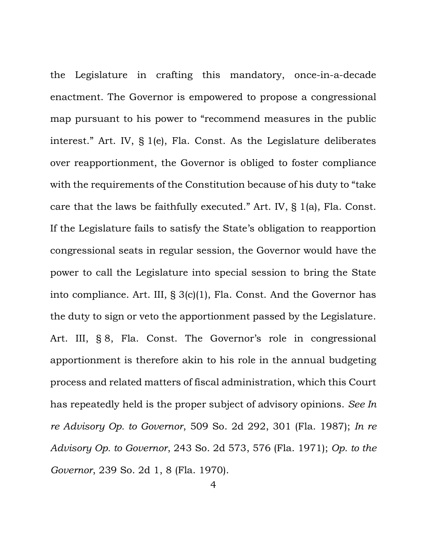the Legislature in crafting this mandatory, once-in-a-decade enactment. The Governor is empowered to propose a congressional map pursuant to his power to "recommend measures in the public interest." Art. IV, § 1(e), Fla. Const. As the Legislature deliberates over reapportionment, the Governor is obliged to foster compliance with the requirements of the Constitution because of his duty to "take care that the laws be faithfully executed." Art. IV, § 1(a), Fla. Const. If the Legislature fails to satisfy the State's obligation to reapportion congressional seats in regular session, the Governor would have the power to call the Legislature into special session to bring the State into compliance. Art. III, § 3(c)(1), Fla. Const. And the Governor has the duty to sign or veto the apportionment passed by the Legislature. Art. III, § 8, Fla. Const. The Governor's role in congressional apportionment is therefore akin to his role in the annual budgeting process and related matters of fiscal administration, which this Court has repeatedly held is the proper subject of advisory opinions. See In re Advisory Op. to Governor, 509 So. 2d 292, 301 (Fla. 1987); In re Advisory Op. to Governor, 243 So. 2d 573, 576 (Fla. 1971); Op. to the Governor, 239 So. 2d 1, 8 (Fla. 1970).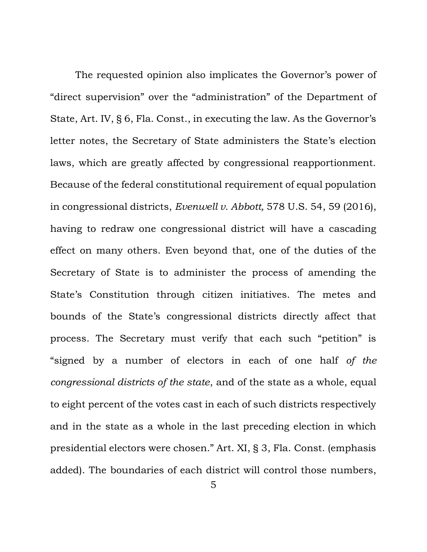The requested opinion also implicates the Governor's power of "direct supervision" over the "administration" of the Department of State, Art. IV, § 6, Fla. Const., in executing the law. As the Governor's letter notes, the Secretary of State administers the State's election laws, which are greatly affected by congressional reapportionment. Because of the federal constitutional requirement of equal population in congressional districts, Evenwell v. Abbott, 578 U.S. 54, 59 (2016), having to redraw one congressional district will have a cascading effect on many others. Even beyond that, one of the duties of the Secretary of State is to administer the process of amending the State's Constitution through citizen initiatives. The metes and bounds of the State's congressional districts directly affect that process. The Secretary must verify that each such "petition" is "signed by a number of electors in each of one half of the congressional districts of the state, and of the state as a whole, equal to eight percent of the votes cast in each of such districts respectively and in the state as a whole in the last preceding election in which presidential electors were chosen." Art. XI, § 3, Fla. Const. (emphasis added). The boundaries of each district will control those numbers,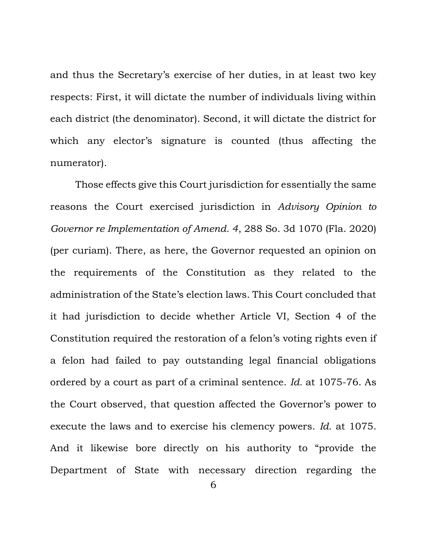and thus the Secretary's exercise of her duties, in at least two key respects: First, it will dictate the number of individuals living within each district (the denominator). Second, it will dictate the district for which any elector's signature is counted (thus affecting the numerator).

Those effects give this Court jurisdiction for essentially the same reasons the Court exercised jurisdiction in Advisory Opinion to Governor re Implementation of Amend. 4, 288 So. 3d 1070 (Fla. 2020) (per curiam). There, as here, the Governor requested an opinion on the requirements of the Constitution as they related to the administration of the State's election laws. This Court concluded that it had jurisdiction to decide whether Article VI, Section 4 of the Constitution required the restoration of a felon's voting rights even if a felon had failed to pay outstanding legal financial obligations ordered by a court as part of a criminal sentence. Id. at 1075-76. As the Court observed, that question affected the Governor's power to execute the laws and to exercise his clemency powers. Id. at 1075. And it likewise bore directly on his authority to "provide the Department of State with necessary direction regarding the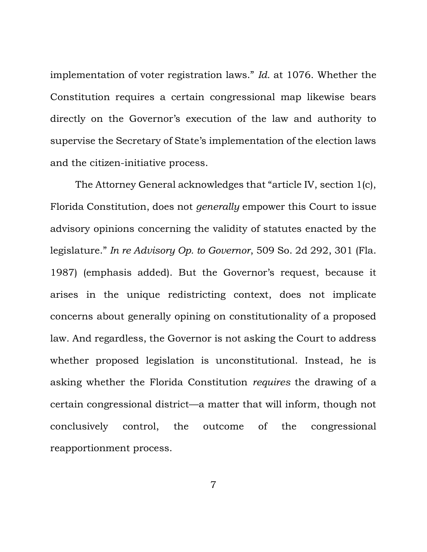implementation of voter registration laws." Id. at 1076. Whether the Constitution requires a certain congressional map likewise bears directly on the Governor's execution of the law and authority to supervise the Secretary of State's implementation of the election laws and the citizen-initiative process.

The Attorney General acknowledges that "article IV, section 1(c), Florida Constitution, does not generally empower this Court to issue advisory opinions concerning the validity of statutes enacted by the legislature." In re Advisory Op. to Governor, 509 So. 2d 292, 301 (Fla. 1987) (emphasis added). But the Governor's request, because it arises in the unique redistricting context, does not implicate concerns about generally opining on constitutionality of a proposed law. And regardless, the Governor is not asking the Court to address whether proposed legislation is unconstitutional. Instead, he is asking whether the Florida Constitution requires the drawing of a certain congressional district—a matter that will inform, though not conclusively control, the outcome of the congressional reapportionment process.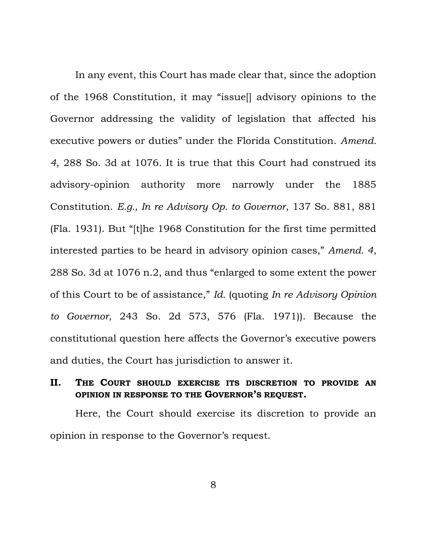In any event, this Court has made clear that, since the adoption of the 1968 Constitution, it may "issue[] advisory opinions to the Governor addressing the validity of legislation that affected his executive powers or duties" under the Florida Constitution. Amend. 4, 288 So. 3d at 1076. It is true that this Court had construed its advisory-opinion authority more narrowly under the 1885 Constitution. E.g., In re Advisory Op. to Governor, 137 So. 881, 881 (Fla. 1931). But "[t]he 1968 Constitution for the first time permitted interested parties to be heard in advisory opinion cases," Amend. 4, 288 So. 3d at 1076 n.2, and thus "enlarged to some extent the power of this Court to be of assistance," Id. (quoting In re Advisory Opinion to Governor, 243 So. 2d 573, 576 (Fla. 1971)). Because the constitutional question here affects the Governor's executive powers and duties, the Court has jurisdiction to answer it.

## II. THE COURT SHOULD EXERCISE ITS DISCRETION TO PROVIDE AN OPINION IN RESPONSE TO THE GOVERNOR'S REQUEST.

Here, the Court should exercise its discretion to provide an opinion in response to the Governor's request.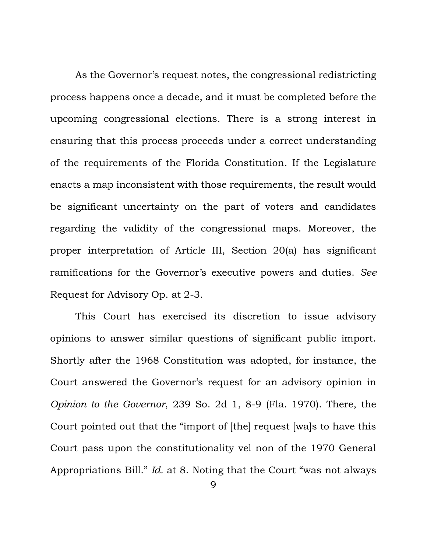As the Governor's request notes, the congressional redistricting process happens once a decade, and it must be completed before the upcoming congressional elections. There is a strong interest in ensuring that this process proceeds under a correct understanding of the requirements of the Florida Constitution. If the Legislature enacts a map inconsistent with those requirements, the result would be significant uncertainty on the part of voters and candidates regarding the validity of the congressional maps. Moreover, the proper interpretation of Article III, Section 20(a) has significant ramifications for the Governor's executive powers and duties. See Request for Advisory Op. at 2-3.

This Court has exercised its discretion to issue advisory opinions to answer similar questions of significant public import. Shortly after the 1968 Constitution was adopted, for instance, the Court answered the Governor's request for an advisory opinion in Opinion to the Governor, 239 So. 2d 1, 8-9 (Fla. 1970). There, the Court pointed out that the "import of [the] request [wa]s to have this Court pass upon the constitutionality vel non of the 1970 General Appropriations Bill." Id. at 8. Noting that the Court "was not always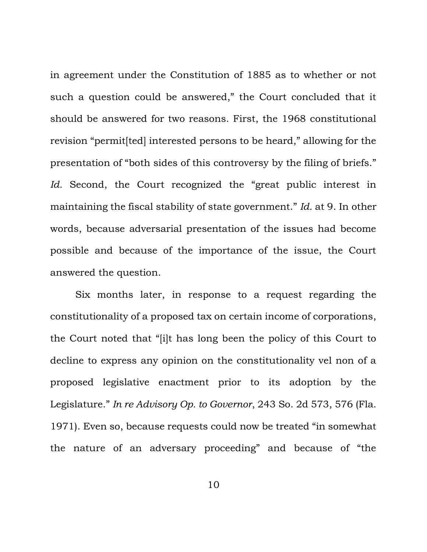in agreement under the Constitution of 1885 as to whether or not such a question could be answered," the Court concluded that it should be answered for two reasons. First, the 1968 constitutional revision "permit[ted] interested persons to be heard," allowing for the presentation of "both sides of this controversy by the filing of briefs." Id. Second, the Court recognized the "great public interest in maintaining the fiscal stability of state government." Id. at 9. In other words, because adversarial presentation of the issues had become possible and because of the importance of the issue, the Court answered the question.

Six months later, in response to a request regarding the constitutionality of a proposed tax on certain income of corporations, the Court noted that "[i]t has long been the policy of this Court to decline to express any opinion on the constitutionality vel non of a proposed legislative enactment prior to its adoption by the Legislature." In re Advisory Op. to Governor, 243 So. 2d 573, 576 (Fla. 1971). Even so, because requests could now be treated "in somewhat the nature of an adversary proceeding" and because of "the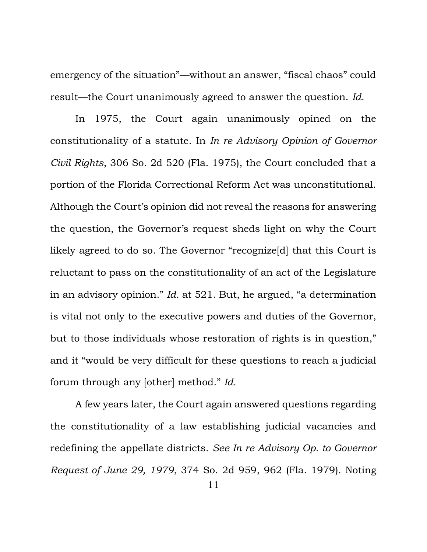emergency of the situation"—without an answer, "fiscal chaos" could result—the Court unanimously agreed to answer the question. Id.

In 1975, the Court again unanimously opined on the constitutionality of a statute. In In re Advisory Opinion of Governor Civil Rights, 306 So. 2d 520 (Fla. 1975), the Court concluded that a portion of the Florida Correctional Reform Act was unconstitutional. Although the Court's opinion did not reveal the reasons for answering the question, the Governor's request sheds light on why the Court likely agreed to do so. The Governor "recognize[d] that this Court is reluctant to pass on the constitutionality of an act of the Legislature in an advisory opinion." Id. at 521. But, he argued, "a determination is vital not only to the executive powers and duties of the Governor, but to those individuals whose restoration of rights is in question," and it "would be very difficult for these questions to reach a judicial forum through any [other] method." Id.

A few years later, the Court again answered questions regarding the constitutionality of a law establishing judicial vacancies and redefining the appellate districts. See In re Advisory Op. to Governor Request of June 29, 1979, 374 So. 2d 959, 962 (Fla. 1979). Noting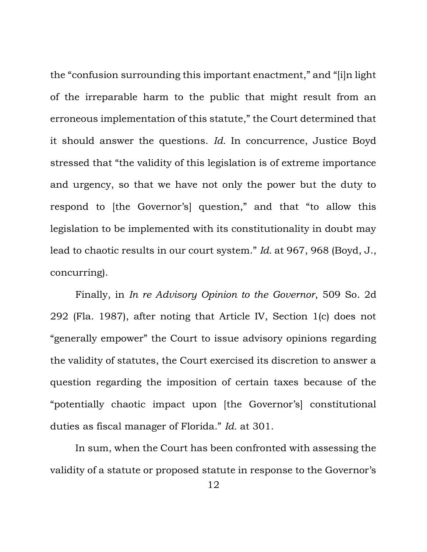the "confusion surrounding this important enactment," and "[i]n light of the irreparable harm to the public that might result from an erroneous implementation of this statute," the Court determined that it should answer the questions. Id. In concurrence, Justice Boyd stressed that "the validity of this legislation is of extreme importance and urgency, so that we have not only the power but the duty to respond to [the Governor's] question," and that "to allow this legislation to be implemented with its constitutionality in doubt may lead to chaotic results in our court system." Id. at 967, 968 (Boyd, J., concurring).

Finally, in In re Advisory Opinion to the Governor, 509 So. 2d 292 (Fla. 1987), after noting that Article IV, Section 1(c) does not "generally empower" the Court to issue advisory opinions regarding the validity of statutes, the Court exercised its discretion to answer a question regarding the imposition of certain taxes because of the "potentially chaotic impact upon [the Governor's] constitutional duties as fiscal manager of Florida." Id. at 301.

In sum, when the Court has been confronted with assessing the validity of a statute or proposed statute in response to the Governor's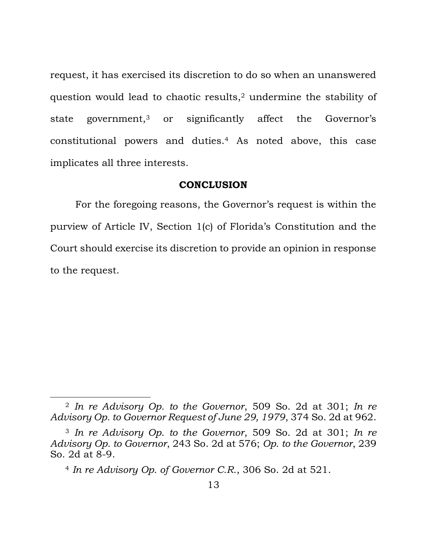request, it has exercised its discretion to do so when an unanswered question would lead to chaotic results,<sup>2</sup> undermine the stability of state government,<sup>3</sup> or significantly affect the Governor's constitutional powers and duties.4 As noted above, this case implicates all three interests.

#### **CONCLUSION**

 For the foregoing reasons, the Governor's request is within the purview of Article IV, Section 1(c) of Florida's Constitution and the Court should exercise its discretion to provide an opinion in response to the request.

<sup>2</sup> In re Advisory Op. to the Governor, 509 So. 2d at 301; In re Advisory Op. to Governor Request of June 29, 1979, 374 So. 2d at 962.

<sup>3</sup> In re Advisory Op. to the Governor, 509 So. 2d at 301; In re Advisory Op. to Governor, 243 So. 2d at 576; Op. to the Governor, 239 So. 2d at 8-9.

<sup>4</sup> In re Advisory Op. of Governor C.R., 306 So. 2d at 521.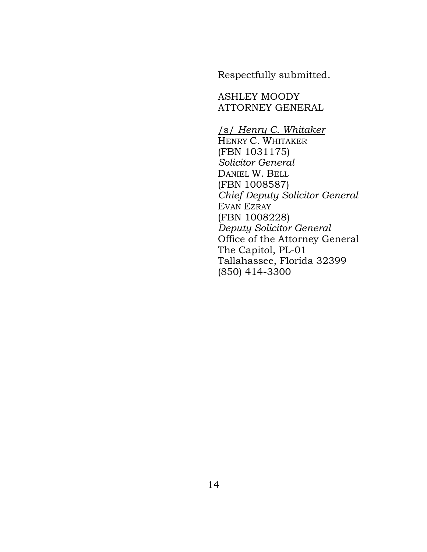Respectfully submitted.

ASHLEY MOODY ATTORNEY GENERAL

### /s/ Henry C. Whitaker

HENRY C. WHITAKER (FBN 1031175) Solicitor General DANIEL W. BELL (FBN 1008587) Chief Deputy Solicitor General EVAN EZRAY (FBN 1008228) Deputy Solicitor General Office of the Attorney General The Capitol, PL-01 Tallahassee, Florida 32399 (850) 414-3300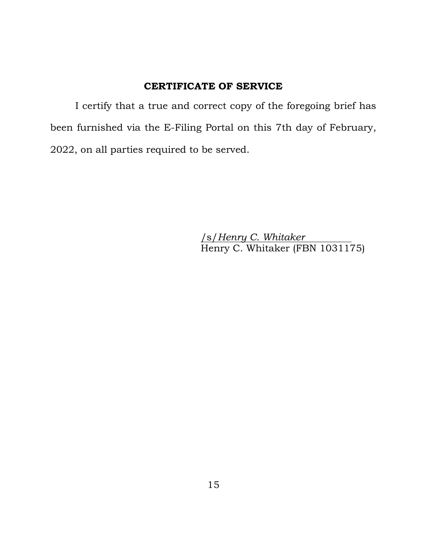## CERTIFICATE OF SERVICE

 I certify that a true and correct copy of the foregoing brief has been furnished via the E-Filing Portal on this 7th day of February, 2022, on all parties required to be served.

> /s/Henry C. Whitaker Henry C. Whitaker (FBN 1031175)